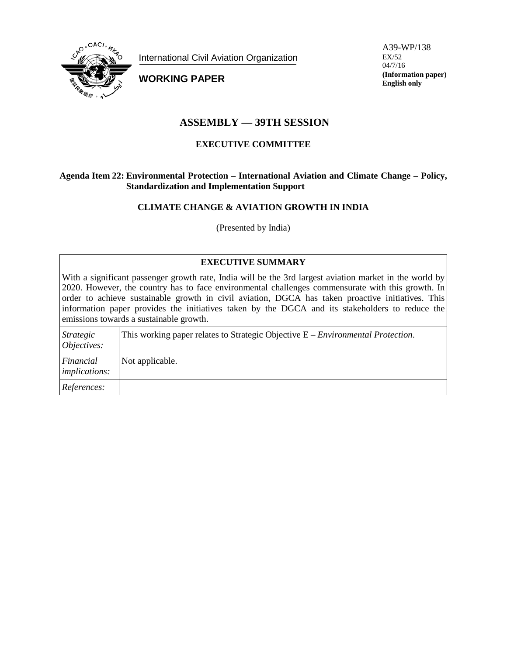

International Civil Aviation Organization

**WORKING PAPER**

A39-WP/138 EX/52 04/7/16 **(Information paper) English only**

# **ASSEMBLY — 39TH SESSION**

# **EXECUTIVE COMMITTEE**

### **Agenda Item 22: Environmental Protection – International Aviation and Climate Change – Policy, Standardization and Implementation Support**

# **CLIMATE CHANGE & AVIATION GROWTH IN INDIA**

(Presented by India)

# **EXECUTIVE SUMMARY**

With a significant passenger growth rate, India will be the 3rd largest aviation market in the world by 2020. However, the country has to face environmental challenges commensurate with this growth. In order to achieve sustainable growth in civil aviation, DGCA has taken proactive initiatives. This information paper provides the initiatives taken by the DGCA and its stakeholders to reduce the emissions towards a sustainable growth.

| Strategic<br>Objectives:          | This working paper relates to Strategic Objective $E$ – <i>Environmental Protection</i> . |
|-----------------------------------|-------------------------------------------------------------------------------------------|
| Financial<br><i>implications:</i> | Not applicable.                                                                           |
| References:                       |                                                                                           |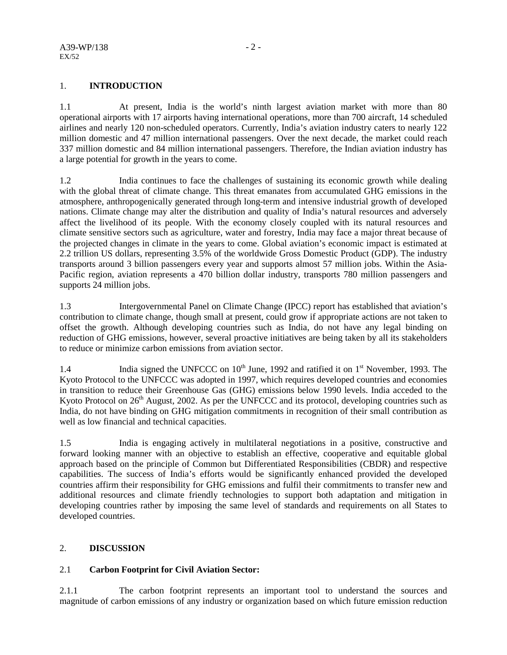# 1. **INTRODUCTION**

1.1 At present, India is the world's ninth largest aviation market with more than 80 operational airports with 17 airports having international operations, more than 700 aircraft, 14 scheduled airlines and nearly 120 non-scheduled operators. Currently, India's aviation industry caters to nearly 122 million domestic and 47 million international passengers. Over the next decade, the market could reach 337 million domestic and 84 million international passengers. Therefore, the Indian aviation industry has a large potential for growth in the years to come.

1.2 India continues to face the challenges of sustaining its economic growth while dealing with the global threat of climate change. This threat emanates from accumulated GHG emissions in the atmosphere, anthropogenically generated through long-term and intensive industrial growth of developed nations. Climate change may alter the distribution and quality of India's natural resources and adversely affect the livelihood of its people. With the economy closely coupled with its natural resources and climate sensitive sectors such as agriculture, water and forestry, India may face a major threat because of the projected changes in climate in the years to come. Global aviation's economic impact is estimated at 2.2 trillion US dollars, representing 3.5% of the worldwide Gross Domestic Product (GDP). The industry transports around 3 billion passengers every year and supports almost 57 million jobs. Within the Asia-Pacific region, aviation represents a 470 billion dollar industry, transports 780 million passengers and supports 24 million jobs.

1.3 Intergovernmental Panel on Climate Change (IPCC) report has established that aviation's contribution to climate change, though small at present, could grow if appropriate actions are not taken to offset the growth. Although developing countries such as India, do not have any legal binding on reduction of GHG emissions, however, several proactive initiatives are being taken by all its stakeholders to reduce or minimize carbon emissions from aviation sector.

1.4 India signed the UNFCCC on  $10^{th}$  June, 1992 and ratified it on  $1^{st}$  November, 1993. The Kyoto Protocol to the UNFCCC was adopted in 1997, which requires developed countries and economies in transition to reduce their Greenhouse Gas (GHG) emissions below 1990 levels. India acceded to the Kyoto Protocol on  $26<sup>th</sup>$  August, 2002. As per the UNFCCC and its protocol, developing countries such as India, do not have binding on GHG mitigation commitments in recognition of their small contribution as well as low financial and technical capacities.

1.5 India is engaging actively in multilateral negotiations in a positive, constructive and forward looking manner with an objective to establish an effective, cooperative and equitable global approach based on the principle of Common but Differentiated Responsibilities (CBDR) and respective capabilities. The success of India's efforts would be significantly enhanced provided the developed countries affirm their responsibility for GHG emissions and fulfil their commitments to transfer new and additional resources and climate friendly technologies to support both adaptation and mitigation in developing countries rather by imposing the same level of standards and requirements on all States to developed countries.

# 2. **DISCUSSION**

#### 2.1 **Carbon Footprint for Civil Aviation Sector:**

2.1.1 The carbon footprint represents an important tool to understand the sources and magnitude of carbon emissions of any industry or organization based on which future emission reduction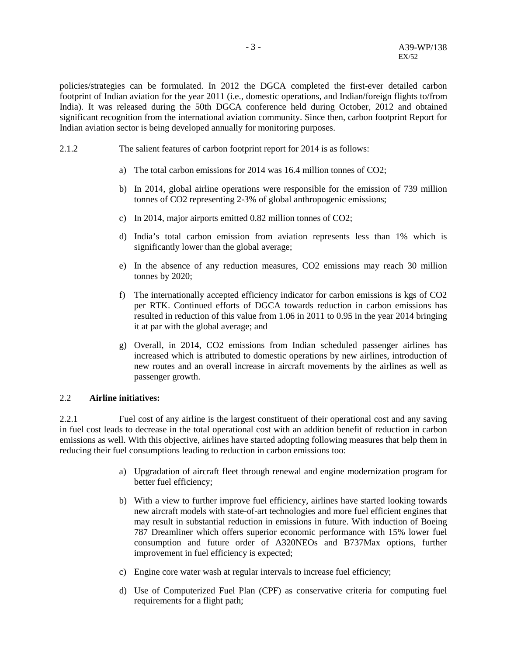policies/strategies can be formulated. In 2012 the DGCA completed the first-ever detailed carbon footprint of Indian aviation for the year 2011 (i.e., domestic operations, and Indian/foreign flights to/from India). It was released during the 50th DGCA conference held during October, 2012 and obtained significant recognition from the international aviation community. Since then, carbon footprint Report for Indian aviation sector is being developed annually for monitoring purposes.

- 2.1.2 The salient features of carbon footprint report for 2014 is as follows:
	- a) The total carbon emissions for 2014 was 16.4 million tonnes of CO2;
	- b) In 2014, global airline operations were responsible for the emission of 739 million tonnes of CO2 representing 2-3% of global anthropogenic emissions;
	- c) In 2014, major airports emitted 0.82 million tonnes of CO2;
	- d) India's total carbon emission from aviation represents less than 1% which is significantly lower than the global average;
	- e) In the absence of any reduction measures, CO2 emissions may reach 30 million tonnes by 2020;
	- f) The internationally accepted efficiency indicator for carbon emissions is kgs of CO2 per RTK. Continued efforts of DGCA towards reduction in carbon emissions has resulted in reduction of this value from 1.06 in 2011 to 0.95 in the year 2014 bringing it at par with the global average; and
	- g) Overall, in 2014, CO2 emissions from Indian scheduled passenger airlines has increased which is attributed to domestic operations by new airlines, introduction of new routes and an overall increase in aircraft movements by the airlines as well as passenger growth.

#### 2.2 **Airline initiatives:**

2.2.1 Fuel cost of any airline is the largest constituent of their operational cost and any saving in fuel cost leads to decrease in the total operational cost with an addition benefit of reduction in carbon emissions as well. With this objective, airlines have started adopting following measures that help them in reducing their fuel consumptions leading to reduction in carbon emissions too:

- a) Upgradation of aircraft fleet through renewal and engine modernization program for better fuel efficiency;
- b) With a view to further improve fuel efficiency, airlines have started looking towards new aircraft models with state-of-art technologies and more fuel efficient engines that may result in substantial reduction in emissions in future. With induction of Boeing 787 Dreamliner which offers superior economic performance with 15% lower fuel consumption and future order of A320NEOs and B737Max options, further improvement in fuel efficiency is expected;
- c) Engine core water wash at regular intervals to increase fuel efficiency;
- d) Use of Computerized Fuel Plan (CPF) as conservative criteria for computing fuel requirements for a flight path;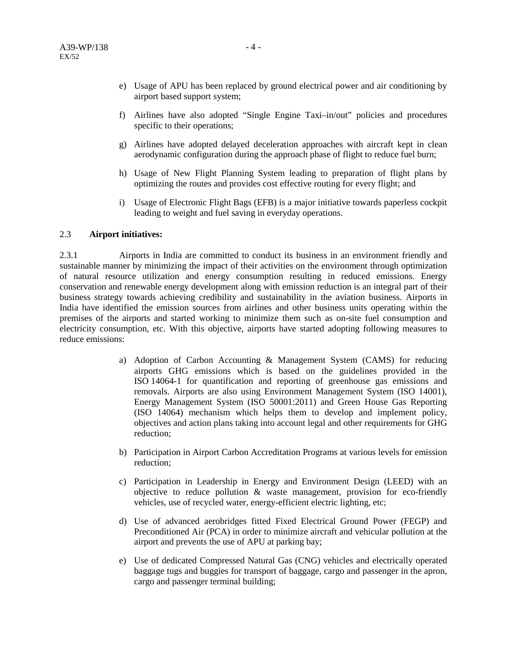- e) Usage of APU has been replaced by ground electrical power and air conditioning by airport based support system;
- f) Airlines have also adopted "Single Engine Taxi–in/out" policies and procedures specific to their operations;
- g) Airlines have adopted delayed deceleration approaches with aircraft kept in clean aerodynamic configuration during the approach phase of flight to reduce fuel burn;
- h) Usage of New Flight Planning System leading to preparation of flight plans by optimizing the routes and provides cost effective routing for every flight; and
- i) Usage of Electronic Flight Bags (EFB) is a major initiative towards paperless cockpit leading to weight and fuel saving in everyday operations.

#### 2.3 **Airport initiatives:**

2.3.1 Airports in India are committed to conduct its business in an environment friendly and sustainable manner by minimizing the impact of their activities on the environment through optimization of natural resource utilization and energy consumption resulting in reduced emissions. Energy conservation and renewable energy development along with emission reduction is an integral part of their business strategy towards achieving credibility and sustainability in the aviation business. Airports in India have identified the emission sources from airlines and other business units operating within the premises of the airports and started working to minimize them such as on-site fuel consumption and electricity consumption, etc. With this objective, airports have started adopting following measures to reduce emissions:

- a) Adoption of Carbon Accounting & Management System (CAMS) for reducing airports GHG emissions which is based on the guidelines provided in the ISO 14064-1 for quantification and reporting of greenhouse gas emissions and removals. Airports are also using Environment Management System (ISO 14001), Energy Management System (ISO 50001:2011) and Green House Gas Reporting (ISO 14064) mechanism which helps them to develop and implement policy, objectives and action plans taking into account legal and other requirements for GHG reduction;
- b) Participation in Airport Carbon Accreditation Programs at various levels for emission reduction;
- c) Participation in Leadership in Energy and Environment Design (LEED) with an objective to reduce pollution & waste management, provision for eco-friendly vehicles, use of recycled water, energy-efficient electric lighting, etc;
- d) Use of advanced aerobridges fitted Fixed Electrical Ground Power (FEGP) and Preconditioned Air (PCA) in order to minimize aircraft and vehicular pollution at the airport and prevents the use of APU at parking bay;
- e) Use of dedicated Compressed Natural Gas (CNG) vehicles and electrically operated baggage tugs and buggies for transport of baggage, cargo and passenger in the apron, cargo and passenger terminal building;